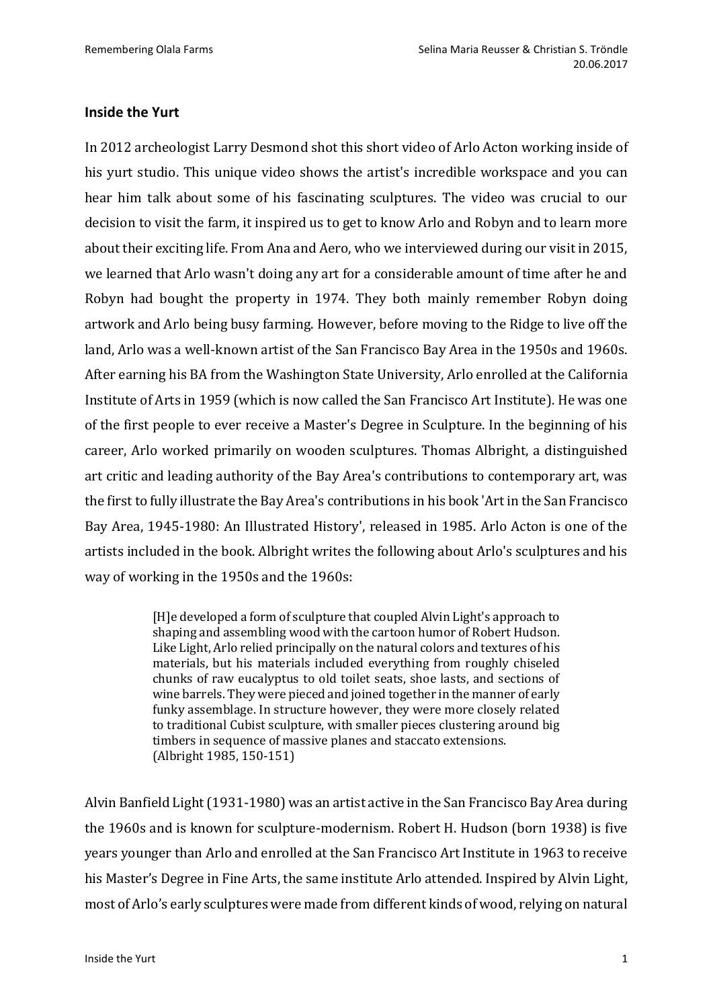## **Inside the Yurt**

In 2012 archeologist Larry Desmond shot this short video of Arlo Acton working inside of his yurt studio. This unique video shows the artist's incredible workspace and you can hear him talk about some of his fascinating sculptures. The video was crucial to our decision to visit the farm, it inspired us to get to know Arlo and Robyn and to learn more about their exciting life. From Ana and Aero, who we interviewed during our visit in 2015, we learned that Arlo wasn't doing any art for a considerable amount of time after he and Robyn had bought the property in 1974. They both mainly remember Robyn doing artwork and Arlo being busy farming. However, before moving to the Ridge to live off the land, Arlo was a well-known artist of the San Francisco Bay Area in the 1950s and 1960s. After earning his BA from the Washington State University, Arlo enrolled at the California Institute of Arts in 1959 (which is now called the San Francisco Art Institute). He was one of the first people to ever receive a Master's Degree in Sculpture. In the beginning of his career, Arlo worked primarily on wooden sculptures. Thomas Albright, a distinguished art critic and leading authority of the Bay Area's contributions to contemporary art, was the first to fully illustrate the Bay Area's contributions in his book 'Art in the San Francisco Bay Area, 1945-1980: An Illustrated History', released in 1985. Arlo Acton is one of the artists included in the book. Albright writes the following about Arlo's sculptures and his way of working in the 1950s and the 1960s:

> [H]e developed a form of sculpture that coupled Alvin Light's approach to shaping and assembling wood with the cartoon humor of Robert Hudson. Like Light, Arlo relied principally on the natural colors and textures of his materials, but his materials included everything from roughly chiseled chunks of raw eucalyptus to old toilet seats, shoe lasts, and sections of wine barrels. They were pieced and joined together in the manner of early funky assemblage. In structure however, they were more closely related to traditional Cubist sculpture, with smaller pieces clustering around big timbers in sequence of massive planes and staccato extensions. (Albright 1985, 150-151)

Alvin Banfield Light(1931-1980) was an artist active in the San Francisco Bay Area during the 1960s and is known for sculpture-modernism. Robert H. Hudson (born 1938) is five years younger than Arlo and enrolled at the San Francisco Art Institute in 1963 to receive his Master's Degree in Fine Arts, the same institute Arlo attended. Inspired by Alvin Light, most of Arlo's early sculptures were made from different kinds of wood, relying on natural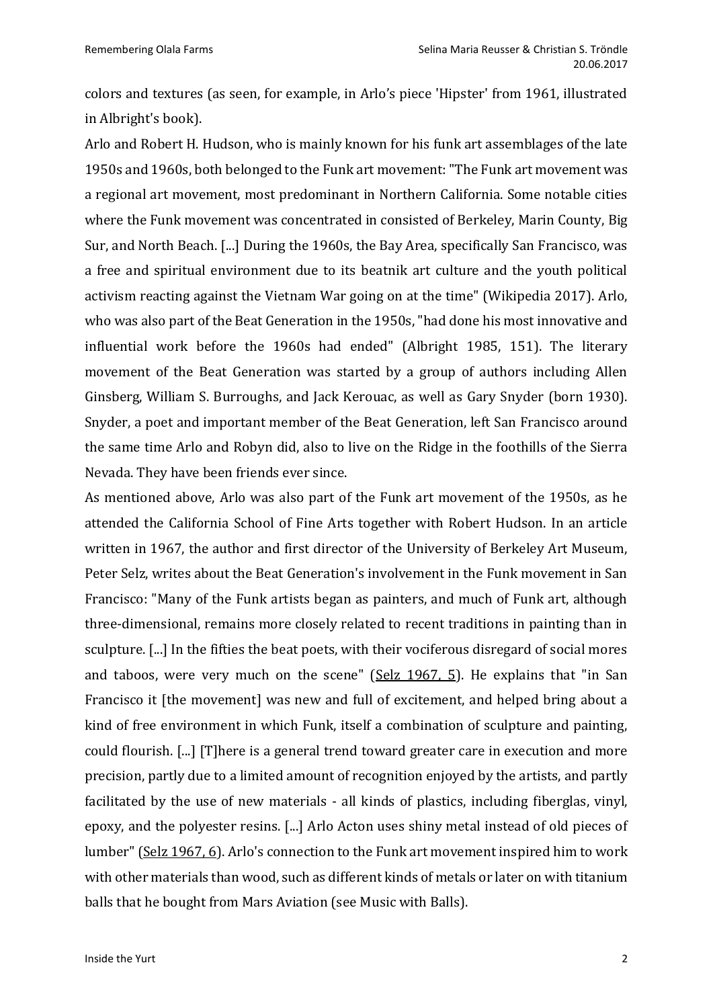colors and textures (as seen, for example, in Arlo's piece 'Hipster' from 1961, illustrated in Albright's book).

Arlo and Robert H. Hudson, who is mainly known for his funk art assemblages of the late 1950s and 1960s, both belonged to the Funk art movement: "The Funk art movement was a regional art movement, most predominant in Northern California. Some notable cities where the Funk movement was concentrated in consisted of Berkeley, Marin County, Big Sur, and North Beach. [...] During the 1960s, the Bay Area, specifically San Francisco, was a free and spiritual environment due to its beatnik art culture and the youth political activism reacting against the Vietnam War going on at the time" (Wikipedia 2017). Arlo, who was also part of the Beat Generation in the 1950s, "had done his most innovative and influential work before the 1960s had ended" (Albright 1985, 151). The literary movement of the Beat Generation was started by a group of authors including Allen Ginsberg, William S. Burroughs, and Jack Kerouac, as well as Gary Snyder (born 1930). Snyder, a poet and important member of the Beat Generation, left San Francisco around the same time Arlo and Robyn did, also to live on the Ridge in the foothills of the Sierra Nevada. They have been friends ever since.

As mentioned above, Arlo was also part of the Funk art movement of the 1950s, as he attended the California School of Fine Arts together with Robert Hudson. In an article written in 1967, the author and first director of the University of Berkeley Art Museum, Peter Selz, writes about the Beat Generation's involvement in the Funk movement in San Francisco: "Many of the Funk artists began as painters, and much of Funk art, although three-dimensional, remains more closely related to recent traditions in painting than in sculpture. [...] In the fifties the beat poets, with their vociferous disregard of social mores and taboos, were very much on the scene" ( $S$ elz 1967, 5). He explains that "in San Francisco it [the movement] was new and full of excitement, and helped bring about a kind of free environment in which Funk, itself a combination of sculpture and painting, could flourish. [...] [T]here is a general trend toward greater care in execution and more precision, partly due to a limited amount of recognition enjoyed by the artists, and partly facilitated by the use of new materials - all kinds of plastics, including fiberglas, vinyl, epoxy, and the polyester resins. [...] Arlo Acton uses shiny metal instead of old pieces of lumber" (Selz 1967, 6). Arlo's connection to the Funk art movement inspired him to work with other materials than wood, such as different kinds of metals or later on with titanium balls that he bought from Mars Aviation (see Music with Balls).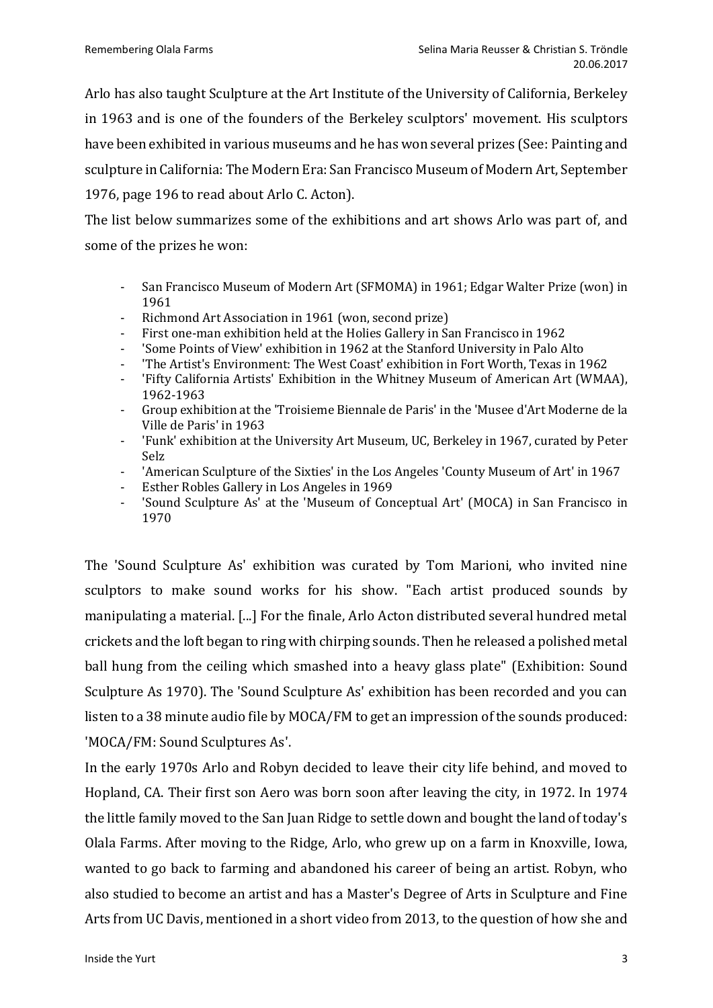Arlo has also taught Sculpture at the Art Institute of the University of California, Berkeley in 1963 and is one of the founders of the Berkeley sculptors' movement. His sculptors have been exhibited in various museums and he has won several prizes (See: Painting and sculpture in California: The Modern Era: San Francisco Museum of Modern Art, September 1976, page 196 to read about Arlo C. Acton).

The list below summarizes some of the exhibitions and art shows Arlo was part of, and some of the prizes he won:

- San Francisco Museum of Modern Art (SFMOMA) in 1961; Edgar Walter Prize (won) in 1961
- Richmond Art Association in 1961 (won, second prize)
- First one-man exhibition held at the Holies Gallery in San Francisco in 1962
- 'Some Points of View' exhibition in 1962 at the Stanford University in Palo Alto
- 'The Artist's Environment: The West Coast' exhibition in Fort Worth, Texas in 1962
- 'Fifty California Artists' Exhibition in the Whitney Museum of American Art (WMAA), 1962-1963
- Group exhibition at the 'Troisieme Biennale de Paris' in the 'Musee d'Art Moderne de la Ville de Paris' in 1963
- 'Funk' exhibition at the University Art Museum, UC, Berkeley in 1967, curated by Peter Selz
- 'American Sculpture of the Sixties' in the Los Angeles 'County Museum of Art' in 1967
- Esther Robles Gallery in Los Angeles in 1969
- 'Sound Sculpture As' at the 'Museum of Conceptual Art' (MOCA) in San Francisco in 1970

The 'Sound Sculpture As' exhibition was curated by Tom Marioni, who invited nine sculptors to make sound works for his show. "Each artist produced sounds by manipulating a material. [...] For the finale, Arlo Acton distributed several hundred metal crickets and the loft began to ring with chirping sounds. Then he released a polished metal ball hung from the ceiling which smashed into a heavy glass plate" (Exhibition: Sound Sculpture As 1970). The 'Sound Sculpture As' exhibition has been recorded and you can listen to a 38 minute audio file by MOCA/FM to get an impression of the sounds produced: 'MOCA/FM: Sound Sculptures As'.

In the early 1970s Arlo and Robyn decided to leave their city life behind, and moved to Hopland, CA. Their first son Aero was born soon after leaving the city, in 1972. In 1974 the little family moved to the San Juan Ridge to settle down and bought the land of today's Olala Farms. After moving to the Ridge, Arlo, who grew up on a farm in Knoxville, Iowa, wanted to go back to farming and abandoned his career of being an artist. Robyn, who also studied to become an artist and has a Master's Degree of Arts in Sculpture and Fine Arts from UC Davis, mentioned in a short video from 2013, to the question of how she and